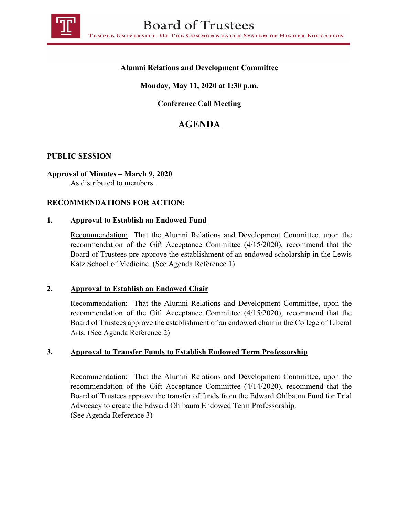

# **Alumni Relations and Development Committee**

# **Monday, May 11, 2020 at 1:30 p.m.**

# **Conference Call Meeting**

# **AGENDA**

# **PUBLIC SESSION**

# **Approval of Minutes – March 9, 2020**

As distributed to members.

# **RECOMMENDATIONS FOR ACTION:**

#### **1. Approval to Establish an Endowed Fund**

Recommendation: That the Alumni Relations and Development Committee, upon the recommendation of the Gift Acceptance Committee (4/15/2020), recommend that the Board of Trustees pre-approve the establishment of an endowed scholarship in the Lewis Katz School of Medicine. (See Agenda Reference 1)

#### **2. Approval to Establish an Endowed Chair**

Recommendation: That the Alumni Relations and Development Committee, upon the recommendation of the Gift Acceptance Committee (4/15/2020), recommend that the Board of Trustees approve the establishment of an endowed chair in the College of Liberal Arts. (See Agenda Reference 2)

# **3. Approval to Transfer Funds to Establish Endowed Term Professorship**

Recommendation: That the Alumni Relations and Development Committee, upon the recommendation of the Gift Acceptance Committee (4/14/2020), recommend that the Board of Trustees approve the transfer of funds from the Edward Ohlbaum Fund for Trial Advocacy to create the Edward Ohlbaum Endowed Term Professorship. (See Agenda Reference 3)